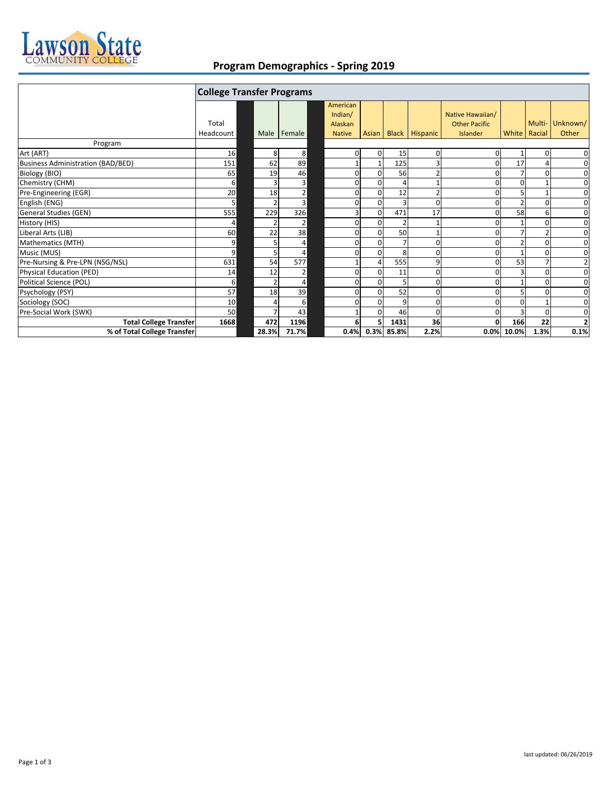

## **Program Demographics ‐ Spring 2019**

|                                          | <b>College Transfer Programs</b> |       |             |                                |                            |                |                      |                                          |       |              |                |
|------------------------------------------|----------------------------------|-------|-------------|--------------------------------|----------------------------|----------------|----------------------|------------------------------------------|-------|--------------|----------------|
|                                          | Total                            |       |             | American<br>Indian/<br>Alaskan |                            |                |                      | Native Hawaiian/<br><b>Other Pacific</b> |       | Multi-       | Unknown/       |
|                                          | Headcount                        |       | Male Female | <b>Native</b>                  |                            |                | Asian Black Hispanic | Islander                                 |       | White Racial | Other          |
| Program                                  |                                  |       |             |                                |                            |                |                      |                                          |       |              |                |
| Art (ART)                                | 16                               | 8     | 8           |                                | $\Omega$<br>$\overline{0}$ | 15             | $\Omega$             |                                          |       | $\Omega$     | 0              |
| <b>Business Administration (BAD/BED)</b> | 151                              | 62    | 89          |                                |                            | 125            |                      |                                          | 17    |              | $\mathbf 0$    |
| Biology (BIO)                            | 65                               | 19    | 46          |                                | $\Omega$<br>0              | 56             | $\overline{2}$       |                                          |       |              | $\mathbf 0$    |
| Chemistry (CHM)                          | $6 \mid$                         |       | 3           |                                | 0<br>0                     |                |                      |                                          | O     |              | 0              |
| Pre-Engineering (EGR)                    | 20                               | 18    | 2           |                                | 0<br>0                     | 12             |                      |                                          |       |              | 0              |
| English (ENG)                            | 5 <sub>l</sub>                   |       | 3           |                                | 0<br>$\Omega$              | $\overline{3}$ | ŋ                    |                                          |       |              | $\mathbf 0$    |
| <b>General Studies (GEN)</b>             | 555                              | 229   | 326         |                                | $\Omega$<br>3              | 471            | 17                   |                                          | 58    | 6            | $\mathbf 0$    |
| History (HIS)                            | 4                                |       | 2           |                                | 0<br>0                     | $\overline{2}$ |                      |                                          |       |              | 0              |
| Liberal Arts (LIB)                       | 60                               | 22    | 38          |                                | 0<br>$\Omega$              | 50             |                      |                                          |       |              | 0              |
| Mathematics (MTH)                        | 9                                |       | 4           |                                | 0<br>0                     |                | ŋ                    |                                          |       | O            | $\mathbf 0$    |
| Music (MUS)                              | $\overline{9}$                   |       | 4           |                                |                            | 8              |                      |                                          |       |              | $\mathbf 0$    |
| Pre-Nursing & Pre-LPN (NSG/NSL)          | 631                              | 54    | 577         |                                |                            | 555            | 9                    |                                          | 53    |              | $\overline{2}$ |
| <b>Physical Education (PED)</b>          | 14                               | 12    | 2           |                                | $\Omega$<br>0              | 11             | 0                    |                                          | ς     | $\Omega$     | $\mathbf 0$    |
| Political Science (POL)                  | $6 \overline{6}$                 |       | 4           |                                | $\Omega$<br>$\Omega$       | 5              | 0                    |                                          |       | $\Omega$     | 0              |
| Psychology (PSY)                         | 57                               | 18    | 39          |                                |                            | 52             |                      |                                          |       |              | $\mathbf 0$    |
| Sociology (SOC)                          | 10                               |       | 6           |                                | 0<br>0                     | 9              | 0                    |                                          |       |              | 0              |
| Pre-Social Work (SWK)                    | 50                               |       | 43          |                                | 0                          | 46             | 0                    |                                          | 3     | $\Omega$     | $\mathbf 0$    |
| <b>Total College Transfer</b>            | 1668                             | 472   | 1196        |                                | 5.<br>6                    | 1431           | 36                   |                                          | 166   | 22           | $\overline{2}$ |
| % of Total College Transfer              |                                  | 28.3% | 71.7%       | 0.4%                           | 0.3%                       | 85.8%          | 2.2%                 | 0.0%                                     | 10.0% | 1.3%         | 0.1%           |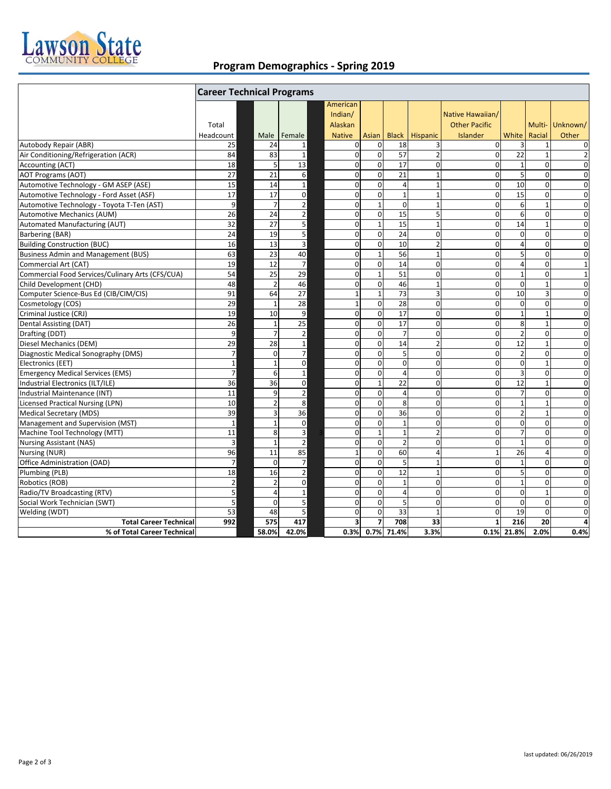

## **Program Demographics ‐ Spring 2019**

|                                                  | <b>Career Technical Programs</b> |                          |                |                                |                |                 |                |                                          |                 |                |                 |
|--------------------------------------------------|----------------------------------|--------------------------|----------------|--------------------------------|----------------|-----------------|----------------|------------------------------------------|-----------------|----------------|-----------------|
|                                                  | Total                            |                          |                | American<br>Indian/<br>Alaskan |                |                 |                | Native Hawaiian/<br><b>Other Pacific</b> |                 |                | Multi- Unknown/ |
|                                                  | Headcount                        | Male                     | Female         | <b>Native</b>                  | Asian          | <b>Black</b>    | Hispanic       | Islander                                 | White           | Racial         | Other           |
| Autobody Repair (ABR)                            | 25                               | 24                       | 1              | $\mathbf{0}$                   | $\mathbf 0$    | 18              | 3              | $\Omega$                                 | 3               | $\mathbf{1}$   | $\mathbf 0$     |
| Air Conditioning/Refrigeration (ACR)             | 84                               | 83                       | $\mathbf{1}$   | $\mathbf 0$                    | $\mathbf 0$    | 57              | $\overline{2}$ | $\overline{0}$                           | 22              | $\mathbf{1}$   | $\overline{2}$  |
| Accounting (ACT)                                 | 18                               | 5                        | 13             | $\Omega$                       | $\Omega$       | 17              | $\Omega$       | $\Omega$                                 | $\mathbf 1$     | $\Omega$       | $\Omega$        |
| <b>AOT Programs (AOT)</b>                        | 27                               | 21                       | 6              | $\mathbf 0$                    | $\mathbf 0$    | 21              | $\mathbf{1}$   | $\overline{0}$                           | 5               | $\mathbf{0}$   | $\mathbf 0$     |
| Automotive Technology - GM ASEP (ASE)            | 15                               | 14                       | $\mathbf{1}$   | $\mathbf 0$                    | $\mathbf 0$    | $\Delta$        | $\overline{1}$ | $\mathbf 0$                              | 10              | $\mathbf 0$    | $\overline{0}$  |
| Automotive Technology - Ford Asset (ASF)         | 17                               | 17                       | 0              | $\mathbf 0$                    | $\mathbf 0$    | $\mathbf{1}$    | $\mathbf{1}$   | $\Omega$                                 | 15              | $\mathbf 0$    | $\mathbf 0$     |
| Automotive Technology - Toyota T-Ten (AST)       | 9                                | $\overline{7}$           | $\overline{2}$ | $\mathbf 0$                    | $\mathbf{1}$   | $\mathbf{0}$    | $\mathbf{1}$   | $\overline{0}$                           | $6\overline{6}$ | $\mathbf{1}$   | $\mathbf 0$     |
| <b>Automotive Mechanics (AUM)</b>                | 26                               | 24                       | $\mathbf 2$    | $\mathbf 0$                    | $\mathbf 0$    | 15              | 5              | $\Omega$                                 | 6               | $\Omega$       | $\mathbf 0$     |
| Automated Manufacturing (AUT)                    | $\overline{32}$                  | 27                       | 5              | $\mathbf 0$                    | $\mathbf{1}$   | 15              | $\mathbf{1}$   | $\overline{0}$                           | 14              | $\mathbf{1}$   | $\mathbf 0$     |
| Barbering (BAR)                                  | 24                               | 19                       | 5              | $\mathbf 0$                    | $\mathbf 0$    | 24              | $\Omega$       | $\Omega$                                 | $\mathbf 0$     | $\mathbf 0$    | $\mathbf 0$     |
| <b>Building Construction (BUC)</b>               | 16                               | 13                       | $\overline{3}$ | $\mathbf 0$                    | $\mathbf 0$    | 10              | $\overline{2}$ | $\overline{0}$                           | $\overline{4}$  | $\Omega$       | $\mathbf 0$     |
| <b>Business Admin and Management (BUS)</b>       | 63                               | 23                       | 40             | $\mathbf 0$                    | $\mathbf{1}$   | 56              | $\mathbf{1}$   | $\Omega$                                 | 5               | $\Omega$       | $\mathbf 0$     |
| Commercial Art (CAT)                             | 19                               | 12                       | $\overline{7}$ | $\mathbf 0$                    | $\mathbf 0$    | 14              | $\mathbf 0$    | $\Omega$                                 | $\overline{4}$  | $\Omega$       | $\mathbf{1}$    |
| Commercial Food Services/Culinary Arts (CFS/CUA) | 54                               | 25                       | 29             | $\mathbf 0$                    | $\mathbf 1$    | 51              | $\mathbf 0$    | $\overline{0}$                           | $\mathbf 1$     | 0              | $\mathbf{1}$    |
| Child Development (CHD)                          | 48                               | $\overline{2}$           | 46             | $\mathbf 0$                    | $\mathbf 0$    | 46              | $\mathbf{1}$   | $\Omega$                                 | $\mathbf 0$     | $\mathbf{1}$   | $\mathbf 0$     |
| Computer Science-Bus Ed (CIB/CIM/CIS)            | 91                               | 64                       | 27             | $\mathbf{1}$                   | $1\,$          | 73              | 3              | $\overline{0}$                           | 10              | 3              | $\mathbf 0$     |
| Cosmetology (COS)                                | 29                               | $\overline{1}$           | 28             | $\mathbf{1}$                   | $\mathbf 0$    | 28              | $\mathbf 0$    | $\Omega$                                 | $\mathbf 0$     | $\Omega$       | $\mathbf 0$     |
| Criminal Justice (CRJ)                           | 19                               | 10                       | 9              | $\mathbf 0$                    | $\mathbf 0$    | $\overline{17}$ | $\mathbf 0$    | $\mathbf 0$                              | $\mathbf{1}$    | $\mathbf{1}$   | $\mathbf 0$     |
| Dental Assisting (DAT)                           | 26                               | $\overline{1}$           | 25             | $\Omega$                       | $\Omega$       | 17              | $\Omega$       | $\Omega$                                 | 8               | $\mathbf{1}$   | $\Omega$        |
| Drafting (DDT)                                   | 9                                | 7                        | $\overline{2}$ | $\mathbf 0$                    | $\mathbf 0$    | $\overline{7}$  | $\mathbf 0$    | $\Omega$                                 | $\overline{2}$  | $\mathbf{0}$   | $\mathbf 0$     |
| Diesel Mechanics (DEM)                           | 29                               | 28                       | $\mathbf 1$    | $\mathbf 0$                    | $\mathbf 0$    | 14              | $\overline{2}$ | $\Omega$                                 | $\overline{12}$ | $\mathbf{1}$   | $\mathbf 0$     |
| Diagnostic Medical Sonography (DMS)              | $\overline{7}$                   | $\Omega$                 | 7              | $\mathbf 0$                    | $\mathbf 0$    | 5               | $\Omega$       | $\Omega$                                 | $\overline{2}$  | $\mathbf 0$    | $\mathbf 0$     |
| Electronics (EET)                                | $\mathbf 1$                      | $\overline{1}$           | $\mathbf 0$    | $\mathbf 0$                    | $\mathbf 0$    | $\mathbf 0$     | $\mathbf 0$    | $\overline{0}$                           | $\mathbf 0$     | $\mathbf{1}$   | $\mathbf 0$     |
| <b>Emergency Medical Services (EMS)</b>          | $\overline{7}$                   | 6                        | $\mathbf 1$    | $\mathbf 0$                    | $\mathbf 0$    | $\Delta$        | $\Omega$       | $\Omega$                                 | 3               | $\Omega$       | $\mathbf 0$     |
| Industrial Electronics (ILT/ILE)                 | 36                               | 36                       | $\mathbf 0$    | $\mathbf 0$                    | $\mathbf{1}$   | 22              | $\mathbf 0$    | $\overline{0}$                           | $\overline{12}$ | $\mathbf{1}$   | $\mathbf 0$     |
| Industrial Maintenance (INT)                     | 11                               | $\mathbf{q}$             | $\overline{2}$ | $\mathbf 0$                    | $\mathbf 0$    | $\overline{A}$  | $\Omega$       | $\Omega$                                 | $\overline{7}$  | $\mathbf 0$    | $\mathbf 0$     |
| <b>Licensed Practical Nursing (LPN)</b>          | 10                               | $\overline{2}$           | 8              | $\mathbf{0}$                   | $\mathbf 0$    | 8               | 0              | $\Omega$                                 | $\mathbf{1}$    | $\mathbf{1}$   | $\mathbf 0$     |
| <b>Medical Secretary (MDS)</b>                   | 39                               | 3                        | 36             | $\mathbf 0$                    | $\mathbf 0$    | 36              | $\mathbf 0$    | $\Omega$                                 | $\overline{2}$  | $\mathbf{1}$   | $\mathbf 0$     |
| Management and Supervision (MST)                 | $\mathbf 1$                      | $\overline{1}$           | $\mathbf 0$    | $\mathbf 0$                    | $\mathbf 0$    | $\mathbf{1}$    | $\mathbf 0$    | $\Omega$                                 | $\mathbf 0$     | $\Omega$       | $\mathbf 0$     |
| Machine Tool Technology (MTT)                    | 11                               | 8                        | 3              | $\mathbf 0$                    | $\mathbf 1$    | $\overline{1}$  | $\overline{2}$ | $\overline{0}$                           | $\overline{7}$  | $\mathbf 0$    | $\mathbf 0$     |
| <b>Nursing Assistant (NAS)</b>                   | $\overline{3}$                   | $\overline{1}$           | $\overline{2}$ | $\mathbf 0$                    | $\mathbf 0$    | $\overline{2}$  | $\mathbf 0$    | $\Omega$                                 | $\mathbf{1}$    | $\mathbf{0}$   | $\mathbf 0$     |
| Nursing (NUR)                                    | 96                               | 11                       | 85             | $\mathbf{1}$                   | $\mathbf 0$    | 60              | $\overline{4}$ | $\mathbf{1}$                             | 26              | $\overline{4}$ | $\mathbf 0$     |
| Office Administration (OAD)                      | $\overline{7}$                   | $\Omega$                 | $\overline{7}$ | $\mathbf 0$                    | $\mathbf 0$    | 5               | $\mathbf{1}$   | $\Omega$                                 | $\mathbf{1}$    | $\mathbf 0$    | $\mathbf 0$     |
| Plumbing (PLB)                                   | 18                               | 16                       | $\overline{2}$ | $\mathbf 0$                    | $\mathbf 0$    | $\overline{12}$ | $\mathbf{1}$   | $\Omega$                                 | 5               | $\mathbf 0$    | $\mathbf 0$     |
| Robotics (ROB)                                   | $\mathbf 2$                      | $\overline{\phantom{0}}$ | $\mathbf 0$    | $\Omega$                       | $\Omega$       | $\mathbf{1}$    | $\Omega$       | $\Omega$                                 | $\mathbf{1}$    | $\Omega$       | $\Omega$        |
| Radio/TV Broadcasting (RTV)                      | 5                                | $\overline{4}$           | $1\,$          | $\mathbf 0$                    | $\mathbf 0$    | $\overline{4}$  | 0              | $\overline{0}$                           | 0               | $\mathbf{1}$   | $\mathbf 0$     |
| Social Work Technician (SWT)                     | 5                                | $\Omega$                 | 5              | $\mathbf 0$                    | $\mathbf 0$    | 5               | $\overline{0}$ | $\Omega$                                 | $\mathbf 0$     | $\Omega$       | $\mathbf 0$     |
| Welding (WDT)                                    | 53                               | 48                       | 5              | $\mathbf 0$                    | $\mathbf 0$    | 33              | $\mathbf{1}$   | $\Omega$                                 | 19              | $\Omega$       | $\mathbf 0$     |
| <b>Total Career Technical</b>                    | 992                              | 575                      | 417            | $\overline{\mathbf{3}}$        | $\overline{7}$ | 708             | 33             | $\mathbf{1}$                             | 216             | 20             | 4               |
| % of Total Career Technical                      |                                  | 58.0%                    | 42.0%          | 0.3%                           |                | 0.7% 71.4%      | 3.3%           |                                          | 0.1% 21.8%      | 2.0%           | 0.4%            |